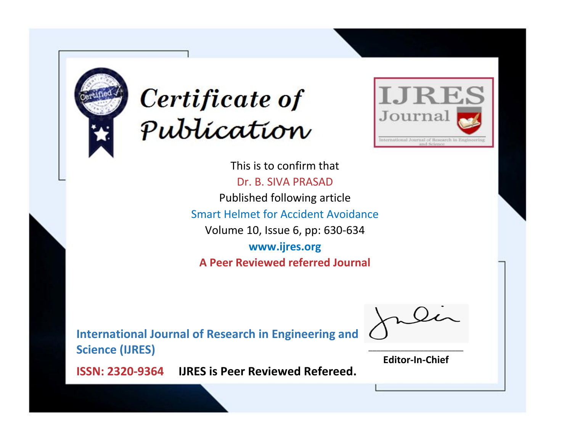



This is to confirm that Dr. B. SIVA PRASAD Published following article Smart Helmet for Accident Avoidance Volume 10, Issue 6, pp: 630-634 **www.ijres.org A Peer Reviewed referred Journal**

**International Journal of Research in Engineering and Science (IJRES)**

\_\_\_\_\_\_\_\_\_\_\_\_\_\_\_\_\_\_\_\_\_\_\_\_ **Editor-In-Chief**

**Journal.**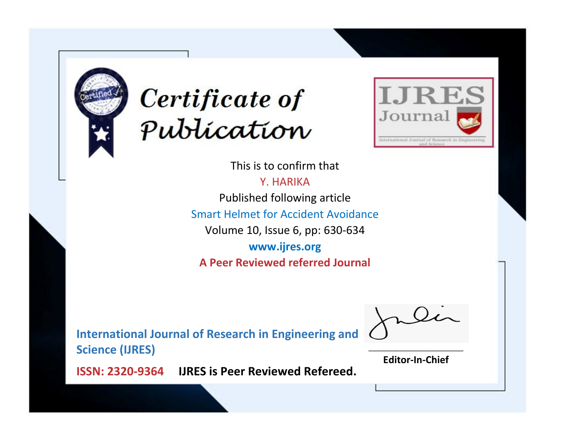



This is to confirm that Y. HARIKA Published following article Smart Helmet for Accident Avoidance Volume 10, Issue 6, pp: 630-634

**www.ijres.org A Peer Reviewed referred Journal**

**International Journal of Research in Engineering and Science (IJRES)**

\_\_\_\_\_\_\_\_\_\_\_\_\_\_\_\_\_\_\_\_\_\_\_\_ **Editor-In-Chief**

**Journal.**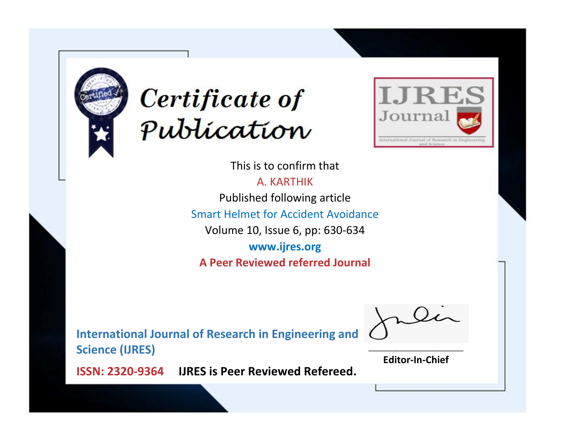



This is to confirm that

A. KARTHIK Published following article Smart Helmet for Accident Avoidance Volume 10, Issue 6, pp: 630-634 **www.ijres.org A Peer Reviewed referred Journal**

**International Journal of Research in Engineering and Science (IJRES)**

\_\_\_\_\_\_\_\_\_\_\_\_\_\_\_\_\_\_\_\_\_\_\_\_ **Editor-In-Chief**

**Journal.**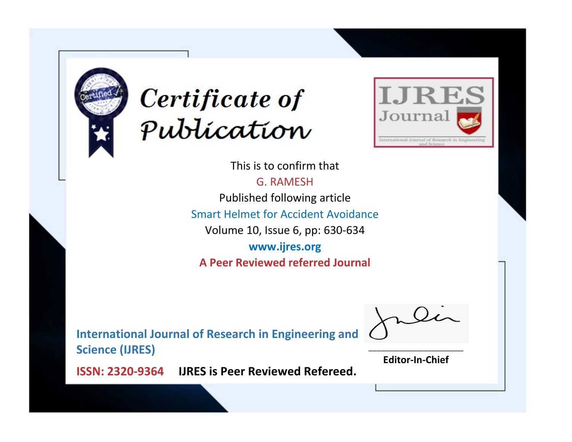



This is to confirm that G. RAMESH Published following article Smart Helmet for Accident Avoidance Volume 10, Issue 6, pp: 630-634 **www.ijres.org A Peer Reviewed referred Journal**

**International Journal of Research in Engineering and Science (IJRES)**

\_\_\_\_\_\_\_\_\_\_\_\_\_\_\_\_\_\_\_\_\_\_\_\_ **Editor-In-Chief**

**Journal.**